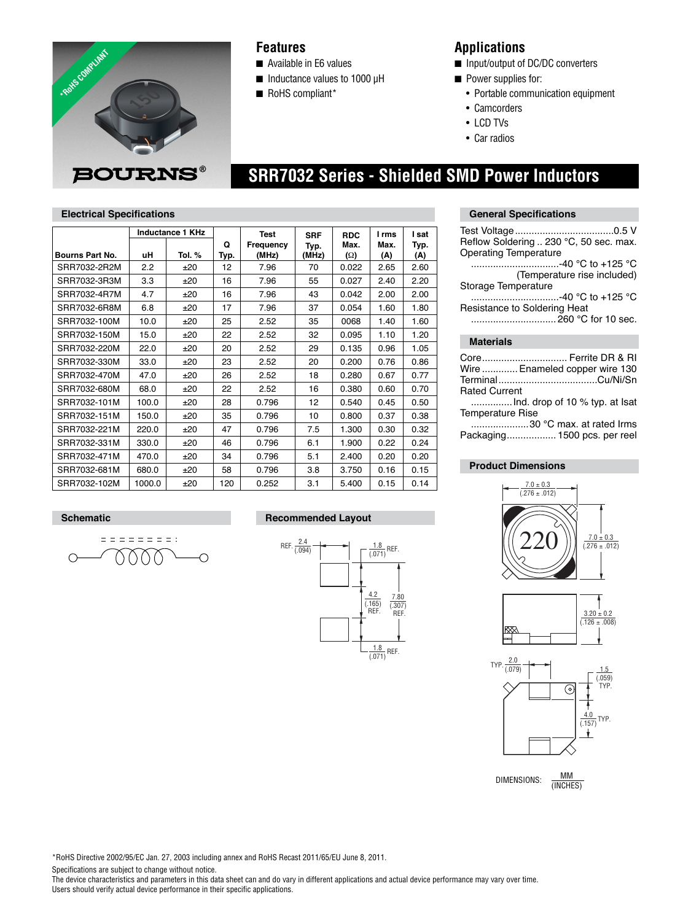

## **Features**

- Available in E6 values
- Inductance values to 1000 µH
- RoHS compliant\*

# **Applications**

- Input/output of DC/DC converters
- Power supplies for:
	- Portable communication equipment
- Camcorders
- LCD TVs
- Car radios

# **SRR7032 Series - Shielded SMD Power Inductors**

### **Electrical Specifications**

|                 | Inductance 1 KHz |        |           | <b>Test</b>        | <b>SRF</b>    | <b>RDC</b>         | I rms       | l sat       |
|-----------------|------------------|--------|-----------|--------------------|---------------|--------------------|-------------|-------------|
| Bourns Part No. | uΗ               | Tol. % | Q<br>Typ. | Frequency<br>(MHz) | Typ.<br>(MHz) | Max.<br>$(\Omega)$ | Max.<br>(A) | Typ.<br>(A) |
| SRR7032-2R2M    | 2.2              | ±20    | 12        | 7.96               | 70            | 0.022              | 2.65        | 2.60        |
| SRR7032-3R3M    | 3.3              | ±20    | 16        | 7.96               | 55            | 0.027              | 2.40        | 2.20        |
| SRR7032-4R7M    | 4.7              | ±20    | 16        | 7.96               | 43            | 0.042              | 2.00        | 2.00        |
| SRR7032-6R8M    | 6.8              | ±20    | 17        | 7.96               | 37            | 0.054              | 1.60        | 1.80        |
| SRR7032-100M    | 10.0             | ±20    | 25        | 2.52               | 35            | 0068               | 1.40        | 1.60        |
| SRR7032-150M    | 15.0             | ±20    | 22        | 2.52               | 32            | 0.095              | 1.10        | 1.20        |
| SRR7032-220M    | 22.0             | ±20    | 20        | 2.52               | 29            | 0.135              | 0.96        | 1.05        |
| SRR7032-330M    | 33.0             | ±20    | 23        | 2.52               | 20            | 0.200              | 0.76        | 0.86        |
| SRR7032-470M    | 47.0             | ±20    | 26        | 2.52               | 18            | 0.280              | 0.67        | 0.77        |
| SRR7032-680M    | 68.0             | ±20    | 22        | 2.52               | 16            | 0.380              | 0.60        | 0.70        |
| SRR7032-101M    | 100.0            | ±20    | 28        | 0.796              | 12            | 0.540              | 0.45        | 0.50        |
| SRR7032-151M    | 150.0            | ±20    | 35        | 0.796              | 10            | 0.800              | 0.37        | 0.38        |
| SRR7032-221M    | 220.0            | ±20    | 47        | 0.796              | 7.5           | 1.300              | 0.30        | 0.32        |
| SRR7032-331M    | 330.0            | ±20    | 46        | 0.796              | 6.1           | 1.900              | 0.22        | 0.24        |
| SRR7032-471M    | 470.0            | ±20    | 34        | 0.796              | 5.1           | 2.400              | 0.20        | 0.20        |
| SRR7032-681M    | 680.0            | ±20    | 58        | 0.796              | 3.8           | 3.750              | 0.16        | 0.15        |
| SRR7032-102M    | 1000.0           | ±20    | 120       | 0.252              | 3.1           | 5.400              | 0.15        | 0.14        |

#### **General Specifications**

| Reflow Soldering  230 °C, 50 sec. max.<br><b>Operating Temperature</b>         |
|--------------------------------------------------------------------------------|
| -40 °C to +125 °C                                                              |
| (Temperature rise included)                                                    |
| Storage Temperature                                                            |
| -40 °C to +125 °C                                                              |
| Resistance to Soldering Heat                                                   |
|                                                                                |
|                                                                                |
| <b>Materials</b>                                                               |
| Core Ferrite DR & RI<br>Wire  Enameled copper wire 130<br><b>Rated Current</b> |
| $\blacksquare$ Ind drop of 10 % typ at Isat                                    |
|                                                                                |

...............Ind. drop of 10 % typ. Temperature Rise

 .....................30 °C max. at rated Irms Packaging .................. 1500 pcs. per reel

### **Product Dimensions**







DIMENSIONS:  $\frac{MM}{MMDM}$ (INCHES)

## **Schematic Recommended Layout**



\*RoHS Directive 2002/95/EC Jan. 27, 2003 including annex and RoHS Recast 2011/65/EU June 8, 2011.

Specifications are subject to change without notice.

eessaas:

 $\circ$ 

O

The device characteristics and parameters in this data sheet can and do vary in different applications and actual device performance may vary over time. Users should verify actual device performance in their specific applications.